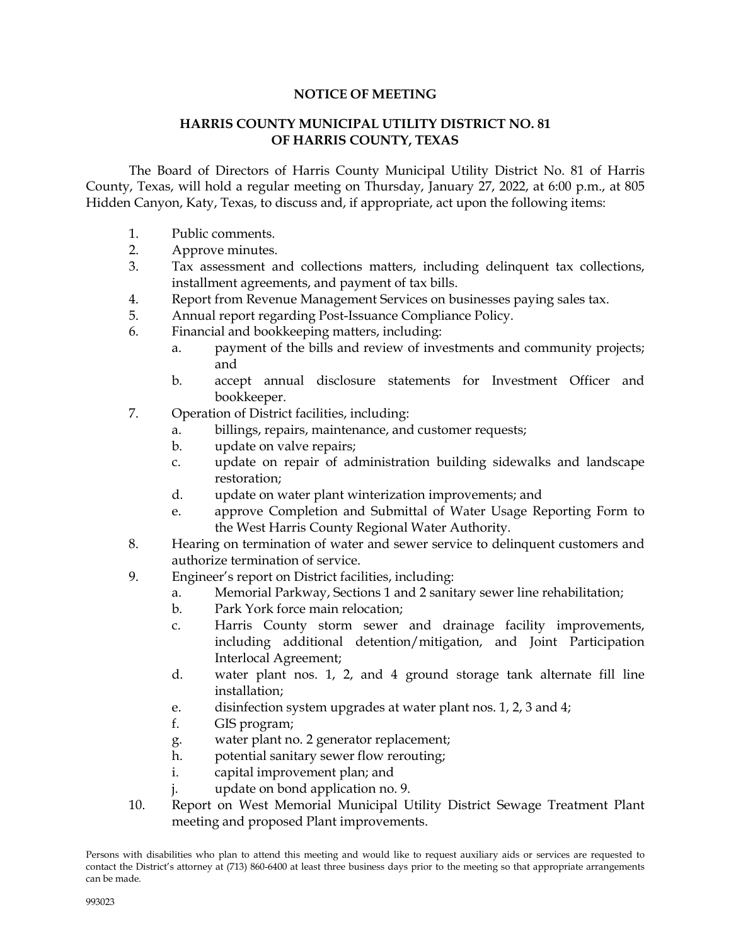#### **NOTICE OF MEETING**

#### **HARRIS COUNTY MUNICIPAL UTILITY DISTRICT NO. 81 OF HARRIS COUNTY, TEXAS**

The Board of Directors of Harris County Municipal Utility District No. 81 of Harris County, Texas, will hold a regular meeting on Thursday, January 27, 2022, at 6:00 p.m., at 805 Hidden Canyon, Katy, Texas, to discuss and, if appropriate, act upon the following items:

- 1. Public comments.
- 2. Approve minutes.
- 3. Tax assessment and collections matters, including delinquent tax collections, installment agreements, and payment of tax bills.
- 4. Report from Revenue Management Services on businesses paying sales tax.
- 5. Annual report regarding Post-Issuance Compliance Policy.
- 6. Financial and bookkeeping matters, including:
	- a. payment of the bills and review of investments and community projects; and
	- b. accept annual disclosure statements for Investment Officer and bookkeeper.
- 7. Operation of District facilities, including:
	- a. billings, repairs, maintenance, and customer requests;
	- b. update on valve repairs;
	- c. update on repair of administration building sidewalks and landscape restoration;
	- d. update on water plant winterization improvements; and
	- e. approve Completion and Submittal of Water Usage Reporting Form to the West Harris County Regional Water Authority.
- 8. Hearing on termination of water and sewer service to delinquent customers and authorize termination of service.
- 9. Engineer's report on District facilities, including:
	- a. Memorial Parkway, Sections 1 and 2 sanitary sewer line rehabilitation;
	- b. Park York force main relocation;
	- c. Harris County storm sewer and drainage facility improvements, including additional detention/mitigation, and Joint Participation Interlocal Agreement;
	- d. water plant nos. 1, 2, and 4 ground storage tank alternate fill line installation;
	- e. disinfection system upgrades at water plant nos. 1, 2, 3 and 4;
	- f. GIS program;
	- g. water plant no. 2 generator replacement;
	- h. potential sanitary sewer flow rerouting;
	- i. capital improvement plan; and
	- j. update on bond application no. 9.
- 10. Report on West Memorial Municipal Utility District Sewage Treatment Plant meeting and proposed Plant improvements.

Persons with disabilities who plan to attend this meeting and would like to request auxiliary aids or services are requested to contact the District's attorney at (713) 860-6400 at least three business days prior to the meeting so that appropriate arrangements can be made.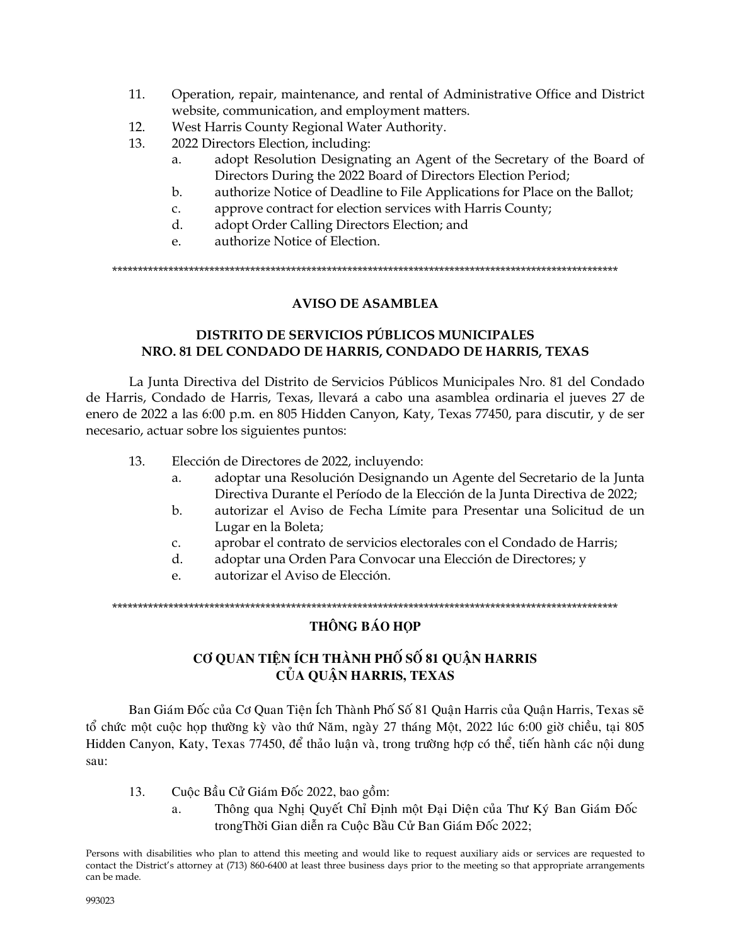- 11. Operation, repair, maintenance, and rental of Administrative Office and District website, communication, and employment matters.
- 12. West Harris County Regional Water Authority.
- 13. 2022 Directors Election, including:
	- a. adopt Resolution Designating an Agent of the Secretary of the Board of Directors During the 2022 Board of Directors Election Period;
	- b. authorize Notice of Deadline to File Applications for Place on the Ballot;
	- c. approve contract for election services with Harris County;
	- d. adopt Order Calling Directors Election; and
	- e. authorize Notice of Election.

\*\*\*\*\*\*\*\*\*\*\*\*\*\*\*\*\*\*\*\*\*\*\*\*\*\*\*\*\*\*\*\*\*\*\*\*\*\*\*\*\*\*\*\*\*\*\*\*\*\*\*\*\*\*\*\*\*\*\*\*\*\*\*\*\*\*\*\*\*\*\*\*\*\*\*\*\*\*\*\*\*\*\*\*\*\*\*\*\*\*\*\*\*\*\*\*\*\*\*

## **AVISO DE ASAMBLEA**

## **DISTRITO DE SERVICIOS PÚBLICOS MUNICIPALES NRO. 81 DEL CONDADO DE HARRIS, CONDADO DE HARRIS, TEXAS**

La Junta Directiva del Distrito de Servicios Públicos Municipales Nro. 81 del Condado de Harris, Condado de Harris, Texas, llevará a cabo una asamblea ordinaria el jueves 27 de enero de 2022 a las 6:00 p.m. en 805 Hidden Canyon, Katy, Texas 77450, para discutir, y de ser necesario, actuar sobre los siguientes puntos:

- 13. Elección de Directores de 2022, incluyendo:
	- a. adoptar una Resolución Designando un Agente del Secretario de la Junta Directiva Durante el Período de la Elección de la Junta Directiva de 2022;
	- b. autorizar el Aviso de Fecha Límite para Presentar una Solicitud de un Lugar en la Boleta;
	- c. aprobar el contrato de servicios electorales con el Condado de Harris;
	- d. adoptar una Orden Para Convocar una Elección de Directores; y
	- e. autorizar el Aviso de Elección.

\*\*\*\*\*\*\*\*\*\*\*\*\*\*\*\*\*\*\*\*\*\*\*\*\*\*\*\*\*\*\*\*\*\*\*\*\*\*\*\*\*\*\*\*\*\*\*\*\*\*\*\*\*\*\*\*\*\*\*\*\*\*\*\*\*\*\*\*\*\*\*\*\*\*\*\*\*\*\*\*\*\*\*\*\*\*\*\*\*\*\*\*\*\*\*\*\*\*\*

## **THÔNG BÁO HOP**

# **CƠ QUAN TIÊN ÍCH THÀNH PHỐ SỐ 81 QUÂN HARRIS CUÛA QUAÄN HARRIS, TEXAS**

Ban Giám Đốc của Cơ Quan Tiện Ích Thành Phố Số 81 Quận Harris của Quận Harris, Texas sẽ tổ chức một cuộc hop thường kỳ vào thứ Năm, ngày 27 tháng Một, 2022 lúc 6:00 giờ chiều, tai 805 Hidden Canyon, Katy, Texas 77450, để thảo luân và, trong trường hợp có thể, tiến hành các nôi dung sau:

- 13. Cuộc Bầu Cử Giám Đốc 2022, bao gồm:
	- a. Thông qua Nghi Quyết Chỉ Đinh môt Đai Diên của Thư Ký Ban Giám Đốc trongThời Gian diễn ra Cuộc Bầu Cử Ban Giám Đốc 2022;

Persons with disabilities who plan to attend this meeting and would like to request auxiliary aids or services are requested to contact the District's attorney at (713) 860-6400 at least three business days prior to the meeting so that appropriate arrangements can be made.